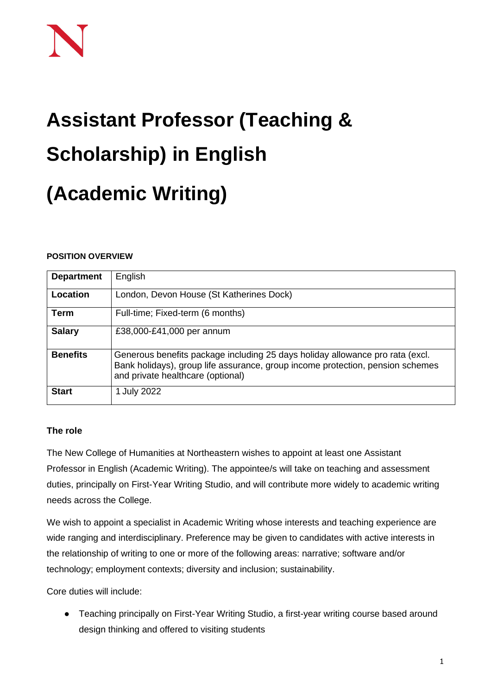# **Assistant Professor (Teaching & Scholarship) in English**

# **(Academic Writing)**

# **POSITION OVERVIEW**

| <b>Department</b> | English                                                                                                                                                                                              |
|-------------------|------------------------------------------------------------------------------------------------------------------------------------------------------------------------------------------------------|
| Location          | London, Devon House (St Katherines Dock)                                                                                                                                                             |
| <b>Term</b>       | Full-time; Fixed-term (6 months)                                                                                                                                                                     |
| <b>Salary</b>     | £38,000-£41,000 per annum                                                                                                                                                                            |
| <b>Benefits</b>   | Generous benefits package including 25 days holiday allowance pro rata (excl.<br>Bank holidays), group life assurance, group income protection, pension schemes<br>and private healthcare (optional) |
| <b>Start</b>      | 1 July 2022                                                                                                                                                                                          |

# **The role**

The New College of Humanities at Northeastern wishes to appoint at least one Assistant Professor in English (Academic Writing). The appointee/s will take on teaching and assessment duties, principally on First-Year Writing Studio, and will contribute more widely to academic writing needs across the College.

We wish to appoint a specialist in Academic Writing whose interests and teaching experience are wide ranging and interdisciplinary. Preference may be given to candidates with active interests in the relationship of writing to one or more of the following areas: narrative; software and/or technology; employment contexts; diversity and inclusion; sustainability.

Core duties will include:

● Teaching principally on First-Year Writing Studio, a first-year writing course based around design thinking and offered to visiting students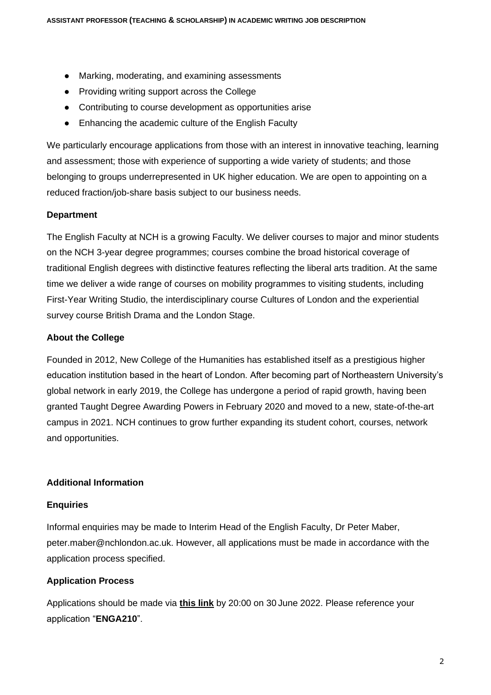- Marking, moderating, and examining assessments
- Providing writing support across the College
- Contributing to course development as opportunities arise
- Enhancing the academic culture of the English Faculty

We particularly encourage applications from those with an interest in innovative teaching, learning and assessment; those with experience of supporting a wide variety of students; and those belonging to groups underrepresented in UK higher education. We are open to appointing on a reduced fraction/job-share basis subject to our business needs.

#### **Department**

The English Faculty at NCH is a growing Faculty. We deliver courses to major and minor students on the NCH 3-year degree programmes; courses combine the broad historical coverage of traditional English degrees with distinctive features reflecting the liberal arts tradition. At the same time we deliver a wide range of courses on mobility programmes to visiting students, including First-Year Writing Studio, the interdisciplinary course Cultures of London and the experiential survey course British Drama and the London Stage.

#### **About the College**

Founded in 2012, New College of the Humanities has established itself as a prestigious higher education institution based in the heart of London. After becoming part of Northeastern University's global network in early 2019, the College has undergone a period of rapid growth, having been granted Taught Degree Awarding Powers in February 2020 and moved to a new, state-of-the-art campus in 2021. NCH continues to grow further expanding its student cohort, courses, network and opportunities.

# **Additional Information**

#### **Enquiries**

Informal enquiries may be made to Interim Head of the English Faculty, Dr Peter Maber, peter.maber@nchlondon.ac.uk. However, all applications must be made in accordance with the application process specified.

# **Application Process**

Applications should be made via **[this link](https://share.hsforms.com/1p3G6XPo_QD-X7V9aRnSTYQ2peji)** by 20:00 on 30 June 2022. Please reference your application "**ENGA210**".